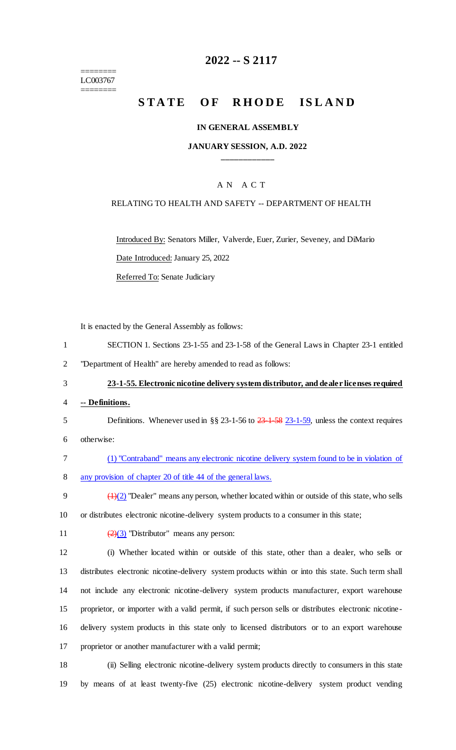======== LC003767 ========

## **2022 -- S 2117**

# **STATE OF RHODE ISLAND**

#### **IN GENERAL ASSEMBLY**

#### **JANUARY SESSION, A.D. 2022 \_\_\_\_\_\_\_\_\_\_\_\_**

#### A N A C T

#### RELATING TO HEALTH AND SAFETY -- DEPARTMENT OF HEALTH

Introduced By: Senators Miller, Valverde, Euer, Zurier, Seveney, and DiMario Date Introduced: January 25, 2022

Referred To: Senate Judiciary

It is enacted by the General Assembly as follows:

- 1 SECTION 1. Sections 23-1-55 and 23-1-58 of the General Laws in Chapter 23-1 entitled
- 2 "Department of Health" are hereby amended to read as follows:

#### 3 **23-1-55. Electronic nicotine delivery system distributor, and dealer licenses required**

- 4 **-- Definitions.**
- 5 Definitions. Whenever used in §§ 23-1-56 to  $\frac{23 \cdot 1 59}{23 \cdot 1 59}$ , unless the context requires
- 6 otherwise:
- 7 (1) "Contraband" means any electronic nicotine delivery system found to be in violation of 8 any provision of chapter 20 of title 44 of the general laws.
- 9  $\left(\frac{1}{2}\right)$  "Dealer" means any person, whether located within or outside of this state, who sells 10 or distributes electronic nicotine-delivery system products to a consumer in this state;
- 11  $\left(\frac{2}{3}\right)$  "Distributor" means any person:

 (i) Whether located within or outside of this state, other than a dealer, who sells or distributes electronic nicotine-delivery system products within or into this state. Such term shall not include any electronic nicotine-delivery system products manufacturer, export warehouse proprietor, or importer with a valid permit, if such person sells or distributes electronic nicotine- delivery system products in this state only to licensed distributors or to an export warehouse proprietor or another manufacturer with a valid permit;

18 (ii) Selling electronic nicotine-delivery system products directly to consumers in this state 19 by means of at least twenty-five (25) electronic nicotine-delivery system product vending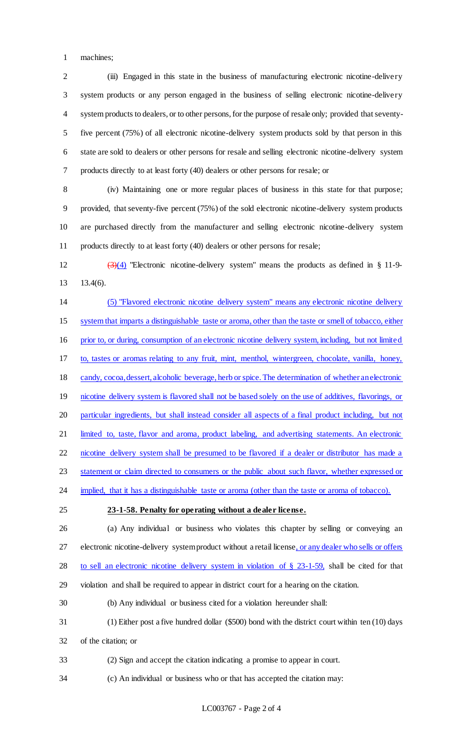machines;

 (iii) Engaged in this state in the business of manufacturing electronic nicotine-delivery system products or any person engaged in the business of selling electronic nicotine-delivery system products to dealers, or to other persons, for the purpose of resale only; provided that seventy- five percent (75%) of all electronic nicotine-delivery system products sold by that person in this state are sold to dealers or other persons for resale and selling electronic nicotine-delivery system products directly to at least forty (40) dealers or other persons for resale; or

 (iv) Maintaining one or more regular places of business in this state for that purpose; provided, that seventy-five percent (75%) of the sold electronic nicotine-delivery system products are purchased directly from the manufacturer and selling electronic nicotine-delivery system products directly to at least forty (40) dealers or other persons for resale;

12  $(3)(4)$  "Electronic nicotine-delivery system" means the products as defined in § 11-9-13.4(6).

 (5) "Flavored electronic nicotine delivery system" means any electronic nicotine delivery system that imparts a distinguishable taste or aroma, other than the taste or smell of tobacco, either prior to, or during, consumption of an electronic nicotine delivery system, including, but not limited to, tastes or aromas relating to any fruit, mint, menthol, wintergreen, chocolate, vanilla, honey, candy, cocoa, dessert, alcoholic beverage, herb or spice. The determination of whether an electronic 19 nicotine delivery system is flavored shall not be based solely on the use of additives, flavorings, or particular ingredients, but shall instead consider all aspects of a final product including, but not 21 limited to, taste, flavor and aroma, product labeling, and advertising statements. An electronic nicotine delivery system shall be presumed to be flavored if a dealer or distributor has made a 23 statement or claim directed to consumers or the public about such flavor, whether expressed or implied, that it has a distinguishable taste or aroma (other than the taste or aroma of tobacco).

**23-1-58. Penalty for operating without a dealer license.**

 (a) Any individual or business who violates this chapter by selling or conveying an 27 electronic nicotine-delivery system product without a retail license, or any dealer who sells or offers 28 to sell an electronic nicotine delivery system in violation of § 23-1-59, shall be cited for that violation and shall be required to appear in district court for a hearing on the citation.

(b) Any individual or business cited for a violation hereunder shall:

 (1) Either post a five hundred dollar (\$500) bond with the district court within ten (10) days of the citation; or

(2) Sign and accept the citation indicating a promise to appear in court.

(c) An individual or business who or that has accepted the citation may: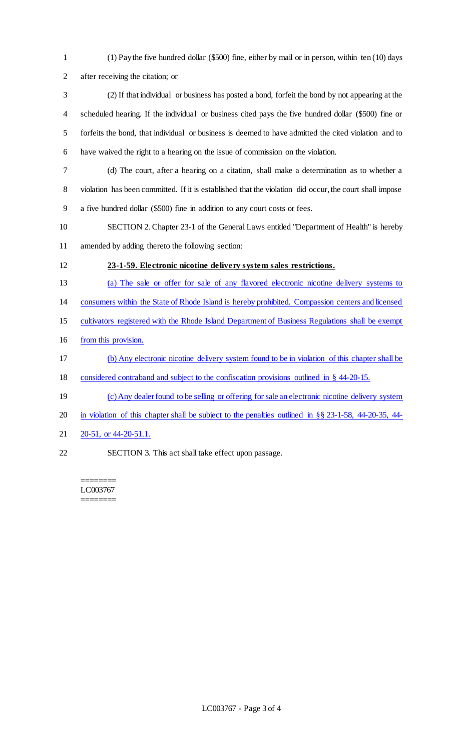- (1) Pay the five hundred dollar (\$500) fine, either by mail or in person, within ten (10) days after receiving the citation; or
- (2) If that individual or business has posted a bond, forfeit the bond by not appearing at the scheduled hearing. If the individual or business cited pays the five hundred dollar (\$500) fine or forfeits the bond, that individual or business is deemed to have admitted the cited violation and to have waived the right to a hearing on the issue of commission on the violation.
- (d) The court, after a hearing on a citation, shall make a determination as to whether a violation has been committed. If it is established that the violation did occur, the court shall impose a five hundred dollar (\$500) fine in addition to any court costs or fees.
- SECTION 2. Chapter 23-1 of the General Laws entitled "Department of Health" is hereby amended by adding thereto the following section:
- **23-1-59. Electronic nicotine delivery system sales restrictions.**
- (a) The sale or offer for sale of any flavored electronic nicotine delivery systems to
- consumers within the State of Rhode Island is hereby prohibited. Compassion centers and licensed
- cultivators registered with the Rhode Island Department of Business Regulations shall be exempt
- from this provision.
- (b) Any electronic nicotine delivery system found to be in violation of this chapter shall be
- considered contraband and subject to the confiscation provisions outlined in § 44-20-15.
- (c) Any dealer found to be selling or offering for sale an electronic nicotine delivery system
- in violation of this chapter shall be subject to the penalties outlined in §§ 23-1-58, 44-20-35, 44-
- 21 20-51, or 44-20-51.1.
- SECTION 3. This act shall take effect upon passage.

======== LC003767 ========